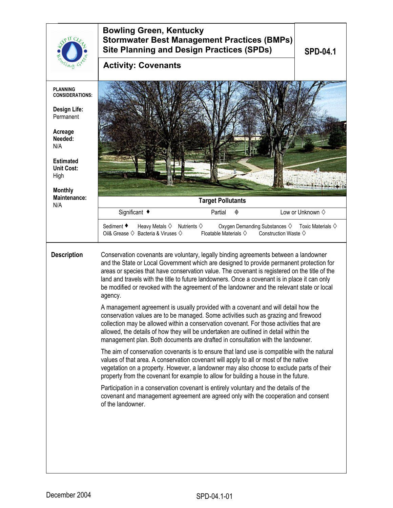